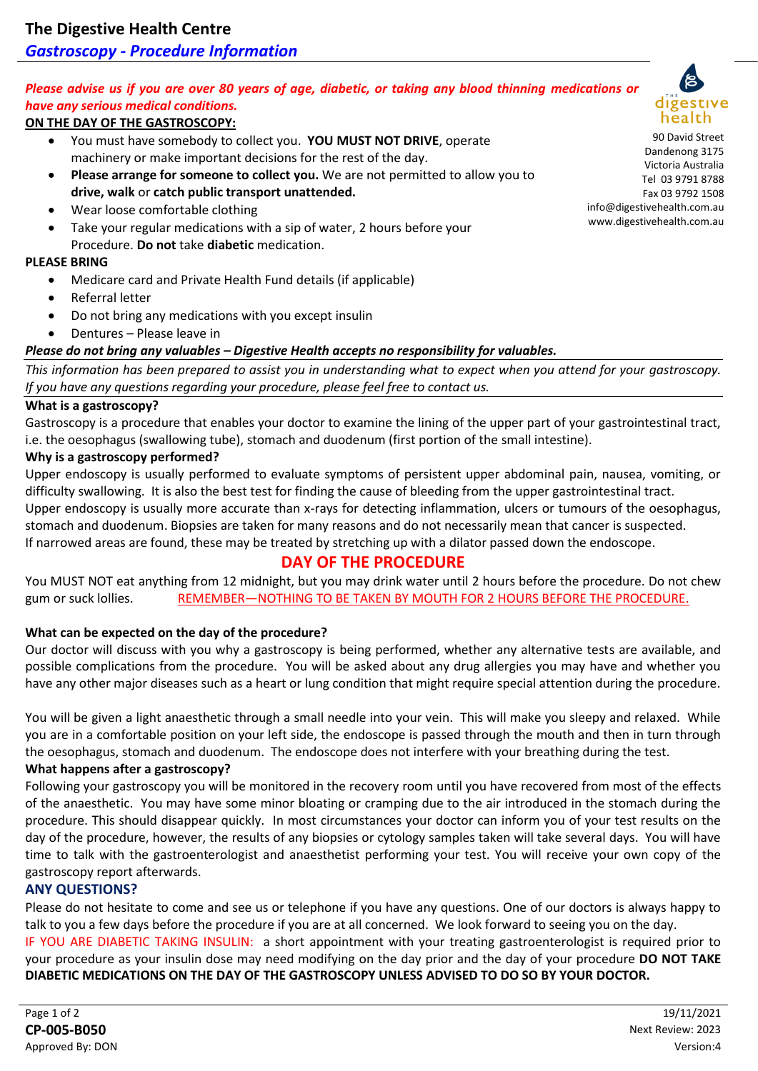## *Gastroscopy - Procedure Information*

## *Please advise us if you are over 80 years of age, diabetic, or taking any blood thinning medications or have any serious medical conditions.*

### **ON THE DAY OF THE GASTROSCOPY:**

- You must have somebody to collect you. **YOU MUST NOT DRIVE**, operate machinery or make important decisions for the rest of the day.
- **Please arrange for someone to collect you.** We are not permitted to allow you to **drive, walk** or **catch public transport unattended.**
- Wear loose comfortable clothing
- Take your regular medications with a sip of water, 2 hours before your Procedure. **Do not** take **diabetic** medication.

#### **PLEASE BRING**

- Medicare card and Private Health Fund details (if applicable)
- Referral letter
- Do not bring any medications with you except insulin
- Dentures Please leave in

#### *Please do not bring any valuables – Digestive Health accepts no responsibility for valuables.*

*This information has been prepared to assist you in understanding what to expect when you attend for your gastroscopy. If you have any questions regarding your procedure, please feel free to contact us.*

#### **What is a gastroscopy?**

Gastroscopy is a procedure that enables your doctor to examine the lining of the upper part of your gastrointestinal tract, i.e. the oesophagus (swallowing tube), stomach and duodenum (first portion of the small intestine).

#### **Why is a gastroscopy performed?**

Upper endoscopy is usually performed to evaluate symptoms of persistent upper abdominal pain, nausea, vomiting, or difficulty swallowing. It is also the best test for finding the cause of bleeding from the upper gastrointestinal tract. Upper endoscopy is usually more accurate than x-rays for detecting inflammation, ulcers or tumours of the oesophagus, stomach and duodenum. Biopsies are taken for many reasons and do not necessarily mean that cancer is suspected.

If narrowed areas are found, these may be treated by stretching up with a dilator passed down the endoscope.

### **DAY OF THE PROCEDURE**

You MUST NOT eat anything from 12 midnight, but you may drink water until 2 hours before the procedure. Do not chew gum or suck lollies. REMEMBER—NOTHING TO BE TAKEN BY MOUTH FOR 2 HOURS BEFORE THE PROCEDURE.

#### **What can be expected on the day of the procedure?**

Our doctor will discuss with you why a gastroscopy is being performed, whether any alternative tests are available, and possible complications from the procedure. You will be asked about any drug allergies you may have and whether you have any other major diseases such as a heart or lung condition that might require special attention during the procedure.

You will be given a light anaesthetic through a small needle into your vein. This will make you sleepy and relaxed. While you are in a comfortable position on your left side, the endoscope is passed through the mouth and then in turn through the oesophagus, stomach and duodenum. The endoscope does not interfere with your breathing during the test.

#### **What happens after a gastroscopy?**

Following your gastroscopy you will be monitored in the recovery room until you have recovered from most of the effects of the anaesthetic. You may have some minor bloating or cramping due to the air introduced in the stomach during the procedure. This should disappear quickly. In most circumstances your doctor can inform you of your test results on the day of the procedure, however, the results of any biopsies or cytology samples taken will take several days. You will have time to talk with the gastroenterologist and anaesthetist performing your test. You will receive your own copy of the gastroscopy report afterwards.

#### **ANY QUESTIONS?**

Please do not hesitate to come and see us or telephone if you have any questions. One of our doctors is always happy to talk to you a few days before the procedure if you are at all concerned. We look forward to seeing you on the day.

IF YOU ARE DIABETIC TAKING INSULIN: a short appointment with your treating gastroenterologist is required prior to your procedure as your insulin dose may need modifying on the day prior and the day of your procedure **DO NOT TAKE DIABETIC MEDICATIONS ON THE DAY OF THE GASTROSCOPY UNLESS ADVISED TO DO SO BY YOUR DOCTOR.**



90 David Street Dandenong 3175 Victoria Australia Tel 03 9791 8788 Fax 03 9792 1508 info@digestivehealth.com.au www.digestivehealth.com.au